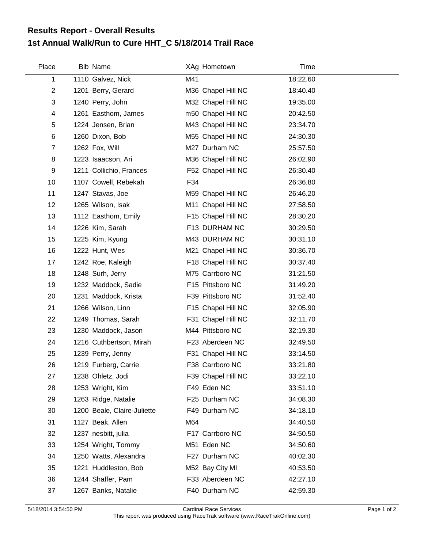## **1st Annual Walk/Run to Cure HHT\_C 5/18/2014 Trail Race Results Report - Overall Results**

| Place          | Bib Name                    |     | XAg Hometown       | Time     |  |
|----------------|-----------------------------|-----|--------------------|----------|--|
| 1              | 1110 Galvez, Nick           | M41 |                    | 18:22.60 |  |
| $\overline{c}$ | 1201 Berry, Gerard          |     | M36 Chapel Hill NC | 18:40.40 |  |
| 3              | 1240 Perry, John            |     | M32 Chapel Hill NC | 19:35.00 |  |
| 4              | 1261 Easthom, James         |     | m50 Chapel Hill NC | 20:42.50 |  |
| 5              | 1224 Jensen, Brian          |     | M43 Chapel Hill NC | 23:34.70 |  |
| 6              | 1260 Dixon, Bob             |     | M55 Chapel Hill NC | 24:30.30 |  |
| $\overline{7}$ | 1262 Fox, Will              |     | M27 Durham NC      | 25:57.50 |  |
| 8              | 1223 Isaacson, Ari          |     | M36 Chapel Hill NC | 26:02.90 |  |
| 9              | 1211 Collichio, Frances     |     | F52 Chapel Hill NC | 26:30.40 |  |
| 10             | 1107 Cowell, Rebekah        | F34 |                    | 26:36.80 |  |
| 11             | 1247 Stavas, Joe            |     | M59 Chapel Hill NC | 26:46.20 |  |
| 12             | 1265 Wilson, Isak           |     | M11 Chapel Hill NC | 27:58.50 |  |
| 13             | 1112 Easthom, Emily         |     | F15 Chapel Hill NC | 28:30.20 |  |
| 14             | 1226 Kim, Sarah             |     | F13 DURHAM NC      | 30:29.50 |  |
| 15             | 1225 Kim, Kyung             |     | M43 DURHAM NC      | 30:31.10 |  |
| 16             | 1222 Hunt, Wes              |     | M21 Chapel Hill NC | 30:36.70 |  |
| 17             | 1242 Roe, Kaleigh           |     | F18 Chapel Hill NC | 30:37.40 |  |
| 18             | 1248 Surh, Jerry            |     | M75 Carrboro NC    | 31:21.50 |  |
| 19             | 1232 Maddock, Sadie         |     | F15 Pittsboro NC   | 31:49.20 |  |
| 20             | 1231 Maddock, Krista        |     | F39 Pittsboro NC   | 31:52.40 |  |
| 21             | 1266 Wilson, Linn           |     | F15 Chapel Hill NC | 32:05.90 |  |
| 22             | 1249 Thomas, Sarah          |     | F31 Chapel Hill NC | 32:11.70 |  |
| 23             | 1230 Maddock, Jason         |     | M44 Pittsboro NC   | 32:19.30 |  |
| 24             | 1216 Cuthbertson, Mirah     |     | F23 Aberdeen NC    | 32:49.50 |  |
| 25             | 1239 Perry, Jenny           |     | F31 Chapel Hill NC | 33:14.50 |  |
| 26             | 1219 Furberg, Carrie        |     | F38 Carrboro NC    | 33:21.80 |  |
| 27             | 1238 Ohletz, Jodi           |     | F39 Chapel Hill NC | 33:22.10 |  |
| 28             | 1253 Wright, Kim            |     | F49 Eden NC        | 33:51.10 |  |
| 29             | 1263 Ridge, Natalie         |     | F25 Durham NC      | 34:08.30 |  |
| 30             | 1200 Beale, Claire-Juliette |     | F49 Durham NC      | 34:18.10 |  |
| 31             | 1127 Beak, Allen            | M64 |                    | 34:40.50 |  |
| 32             | 1237 nesbitt, julia         |     | F17 Carrboro NC    | 34:50.50 |  |
| 33             | 1254 Wright, Tommy          |     | M51 Eden NC        | 34:50.60 |  |
| 34             | 1250 Watts, Alexandra       |     | F27 Durham NC      | 40:02.30 |  |
| 35             | 1221 Huddleston, Bob        |     | M52 Bay City MI    | 40:53.50 |  |
| 36             | 1244 Shaffer, Pam           |     | F33 Aberdeen NC    | 42:27.10 |  |
| 37             | 1267 Banks, Natalie         |     | F40 Durham NC      | 42:59.30 |  |